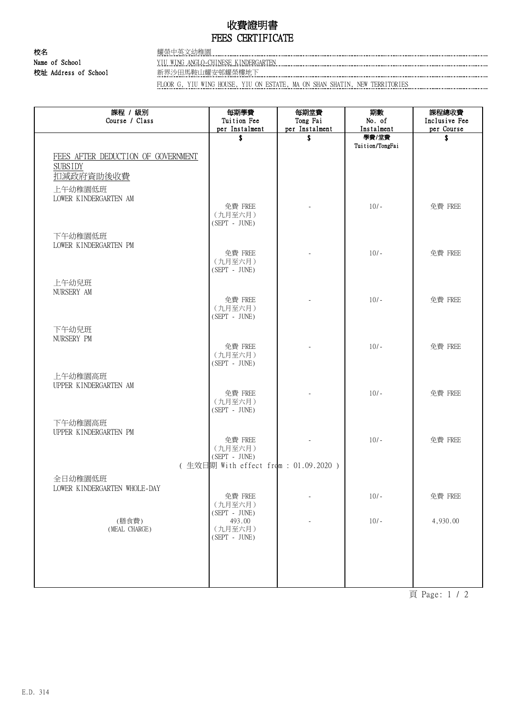## 收費證明書 FEES CERTIFICATE

校名 耀榮中英文幼稚園 Name of School YIU WING ANGLO-CHINESE KINDERGARTEN 校址 Address of School 新界沙田馬鞍山耀安邨耀榮樓地下

FLOOR G, YIU WING HOUSE, YIU ON ESTATE, MA ON SHAN SHATIN, NEW TERRITORIES

| 課程 / 級別<br>Course / Class          | 每期學費<br>Tuition Fee                   | 每期堂費<br>Tong Fai | 期數<br>No. of             | 課程總收費<br>Inclusive Fee |
|------------------------------------|---------------------------------------|------------------|--------------------------|------------------------|
|                                    | per Instalment                        | per Instalment   | Instalment               | per Course             |
|                                    | \$                                    | \$               | 學費/堂費<br>Tuition/TongFai | \$                     |
| FEES AFTER DEDUCTION OF GOVERNMENT |                                       |                  |                          |                        |
| <b>SUBSIDY</b>                     |                                       |                  |                          |                        |
| 扣減政府資助後收費                          |                                       |                  |                          |                        |
| 上午幼稚園低班                            |                                       |                  |                          |                        |
| LOWER KINDERGARTEN AM              |                                       |                  |                          |                        |
|                                    | 免費 FREE                               |                  | $10/-$                   | 免費 FREE                |
|                                    | (九月至六月)<br>$(SEPT - JUNE)$            |                  |                          |                        |
| 下午幼稚園低班                            |                                       |                  |                          |                        |
| LOWER KINDERGARTEN PM              |                                       |                  |                          |                        |
|                                    | 免費 FREE                               |                  | $10/-$                   | 免費 FREE                |
|                                    | (九月至六月)                               |                  |                          |                        |
|                                    | $(SEPT - JUNE)$                       |                  |                          |                        |
| 上午幼兒班<br>NURSERY AM                |                                       |                  |                          |                        |
|                                    | 免費 FREE                               |                  | $10/-$                   | 免費 FREE                |
|                                    | (九月至六月)                               |                  |                          |                        |
|                                    | $(SEPT - JUNE)$                       |                  |                          |                        |
| 下午幼兒班                              |                                       |                  |                          |                        |
| NURSERY PM                         | 免費 FREE                               |                  | $10/-$                   | 免費 FREE                |
|                                    | (九月至六月)                               |                  |                          |                        |
|                                    | $(SEPT - JUNE)$                       |                  |                          |                        |
| 上午幼稚園高班                            |                                       |                  |                          |                        |
| UPPER KINDERGARTEN AM              |                                       |                  |                          |                        |
|                                    | 免費 FREE<br>(九月至六月)                    |                  | $10/-$                   | 免費 FREE                |
|                                    | (SEPT - JUNE)                         |                  |                          |                        |
| 下午幼稚園高班                            |                                       |                  |                          |                        |
| UPPER KINDERGARTEN PM              |                                       |                  |                          |                        |
|                                    | 免費 FREE<br>(九月至六月)                    |                  | $10/-$                   | 免費 FREE                |
|                                    | $(SEPT - JUNE)$                       |                  |                          |                        |
|                                    | (生效日期 With effect from : 01.09.2020 ) |                  |                          |                        |
| 全日幼稚園低班                            |                                       |                  |                          |                        |
| LOWER KINDERGARTEN WHOLE-DAY       |                                       |                  |                          |                        |
|                                    | 免費 FREE<br>(九月至六月)                    |                  | $10/-$                   | 免費 FREE                |
|                                    | $(SEPT - JUNE)$                       |                  |                          |                        |
| (膳食費)                              | 493.00                                |                  | $10/-$                   | 4,930.00               |
| (MEAL CHARGE)                      | (九月至六月)<br>(SEPT - JUNE)              |                  |                          |                        |
|                                    |                                       |                  |                          |                        |
|                                    |                                       |                  |                          |                        |
|                                    |                                       |                  |                          |                        |
|                                    |                                       |                  |                          |                        |

頁 Page: 1 / 2